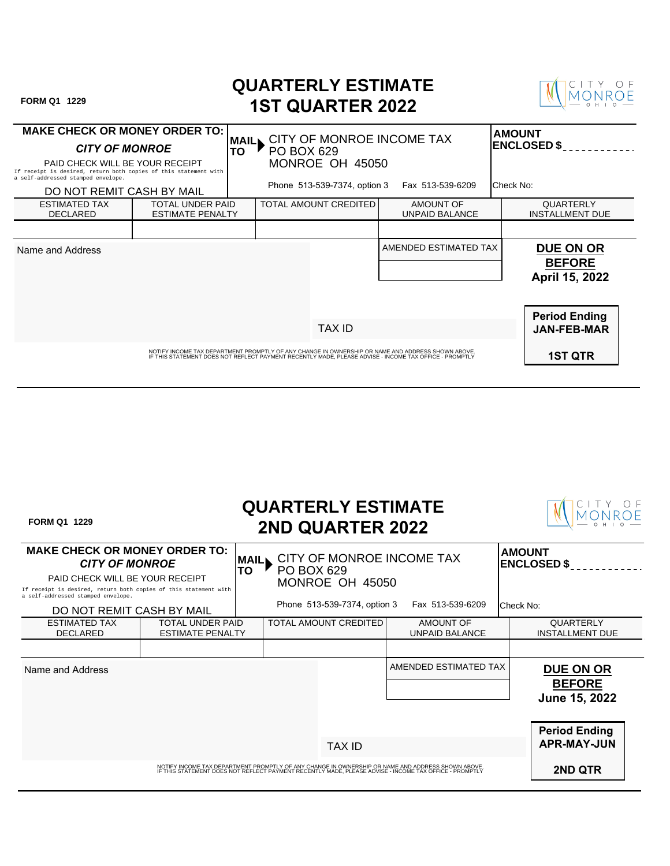| FORM Q1 1229                                                                                                                                                           |                                             |                                        | <b>QUARTERLY ESTIMATE</b><br><b>1ST QUARTER 2022</b> |                                                                                                                                                                                                             |                                                     |
|------------------------------------------------------------------------------------------------------------------------------------------------------------------------|---------------------------------------------|----------------------------------------|------------------------------------------------------|-------------------------------------------------------------------------------------------------------------------------------------------------------------------------------------------------------------|-----------------------------------------------------|
| <b>MAKE CHECK OR MONEY ORDER TO:  </b><br><b>CITY OF MONROE</b><br>PAID CHECK WILL BE YOUR RECEIPT<br>If receipt is desired, return both copies of this statement with |                                             | <b>MAIL</b><br>TO<br><b>PO BOX 629</b> | MONROE OH 45050                                      | CITY OF MONROE INCOME TAX                                                                                                                                                                                   | <b>AMOUNT</b><br><b>ENCLOSED \$</b>                 |
| a self-addressed stamped envelope.<br>DO NOT REMIT CASH BY MAIL                                                                                                        |                                             |                                        | Phone 513-539-7374, option 3                         | Fax 513-539-6209                                                                                                                                                                                            | lCheck No:                                          |
| <b>ESTIMATED TAX</b><br><b>DECLARED</b>                                                                                                                                | TOTAL UNDER PAID<br><b>ESTIMATE PENALTY</b> |                                        | TOTAL AMOUNT CREDITED                                | <b>AMOUNT OF</b><br><b>UNPAID BALANCE</b>                                                                                                                                                                   | QUARTERLY<br><b>INSTALLMENT DUE</b>                 |
|                                                                                                                                                                        |                                             |                                        |                                                      |                                                                                                                                                                                                             |                                                     |
| Name and Address                                                                                                                                                       |                                             |                                        |                                                      | AMENDED ESTIMATED TAX                                                                                                                                                                                       | <b>DUE ON OR</b><br><b>BEFORE</b><br>April 15, 2022 |
|                                                                                                                                                                        |                                             |                                        | <b>TAX ID</b>                                        |                                                                                                                                                                                                             | <b>Period Ending</b><br><b>JAN-FEB-MAR</b>          |
|                                                                                                                                                                        |                                             |                                        |                                                      | NOTIFY INCOME TAX DEPARTMENT PROMPTLY OF ANY CHANGE IN OWNERSHIP OR NAME AND ADDRESS SHOWN ABOVE.<br>IF THIS STATEMENT DOES NOT REFLECT PAYMENT RECENTLY MADE, PLEASE ADVISE - INCOME TAX OFFICE - PROMPTLY | <b>1ST QTR</b>                                      |

| <b>FORM Q1 1229</b>                                                                                                                                                                                        |                                             |                                                                                        | <b>QUARTERLY ESTIMATE</b><br><b>2ND QUARTER 2022</b>                                                                                                                                                        |  |                                                               |                                     |                                                          |
|------------------------------------------------------------------------------------------------------------------------------------------------------------------------------------------------------------|---------------------------------------------|----------------------------------------------------------------------------------------|-------------------------------------------------------------------------------------------------------------------------------------------------------------------------------------------------------------|--|---------------------------------------------------------------|-------------------------------------|----------------------------------------------------------|
| <b>MAKE CHECK OR MONEY ORDER TO:</b><br><b>CITY OF MONROE</b><br>PAID CHECK WILL BE YOUR RECEIPT<br>If receipt is desired, return both copies of this statement with<br>a self-addressed stamped envelope. |                                             | CITY OF MONROE INCOME TAX<br><b>MAIL</b><br>TO<br><b>PO BOX 629</b><br>MONROE OH 45050 |                                                                                                                                                                                                             |  |                                                               | <b>AMOUNT</b><br><b>ENCLOSED \$</b> |                                                          |
| DO NOT REMIT CASH BY MAIL<br><b>ESTIMATED TAX</b><br><b>DECLARED</b>                                                                                                                                       | TOTAL UNDER PAID<br><b>ESTIMATE PENALTY</b> | Phone 513-539-7374, option 3<br><b>TOTAL AMOUNT CREDITED</b>                           |                                                                                                                                                                                                             |  | Fax 513-539-6209<br><b>AMOUNT OF</b><br><b>UNPAID BALANCE</b> |                                     | lCheck No:<br><b>QUARTERLY</b><br><b>INSTALLMENT DUE</b> |
| Name and Address                                                                                                                                                                                           |                                             |                                                                                        |                                                                                                                                                                                                             |  | AMENDED ESTIMATED TAX                                         |                                     | <b>DUE ON OR</b><br><b>BEFORE</b><br>June 15, 2022       |
|                                                                                                                                                                                                            |                                             |                                                                                        | <b>TAX ID</b>                                                                                                                                                                                               |  |                                                               |                                     | <b>Period Ending</b><br><b>APR-MAY-JUN</b>               |
|                                                                                                                                                                                                            |                                             |                                                                                        | NOTIFY INCOME TAX DEPARTMENT PROMPTLY OF ANY CHANGE IN OWNERSHIP OR NAME AND ADDRESS SHOWN ABOVE.<br>IF THIS STATEMENT DOES NOT REFLECT PAYMENT RECENTLY MADE, PLEASE ADVISE - INCOME TAX OFFICE - PROMPTLY |  |                                                               |                                     | <b>2ND QTR</b>                                           |